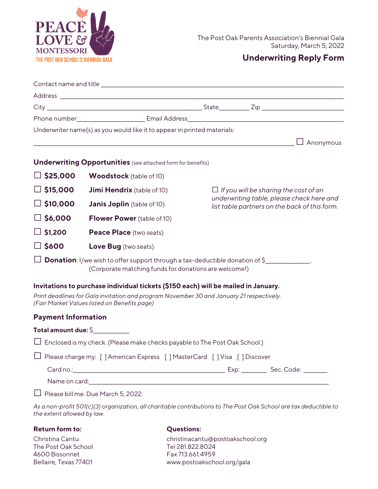

## **Underwriting Reply Form**

|                            | Underwriter name(s) as you would like it to appear in printed materials:                                                                                           |                                                                                                                      |                                                                                            |
|----------------------------|--------------------------------------------------------------------------------------------------------------------------------------------------------------------|----------------------------------------------------------------------------------------------------------------------|--------------------------------------------------------------------------------------------|
|                            |                                                                                                                                                                    | <u> 1989 - Johann Barn, mars ann an t-Amhain Aonaich an t-Aonaich an t-Aonaich ann an t-Aonaich ann an t-Aonaich</u> | $\Box$ Anonymous                                                                           |
|                            | <b>Underwriting Opportunities</b> (see attached form for benefits)                                                                                                 |                                                                                                                      |                                                                                            |
| $\Box$ \$25,000            | <b>Woodstock</b> (table of 10)                                                                                                                                     |                                                                                                                      |                                                                                            |
| $\Box$ \$15,000            | <b>Jimi Hendrix</b> (table of 10)                                                                                                                                  | $\Box$ If you will be sharing the cost of an                                                                         |                                                                                            |
| $\Box$ \$10,000            | <b>Janis Joplin</b> (table of 10)                                                                                                                                  |                                                                                                                      | underwriting table, please check here and<br>list table partners on the back of this form. |
| $\Box$ \$6,000             | <b>Flower Power</b> (table of 10)                                                                                                                                  |                                                                                                                      |                                                                                            |
| $\Box$ \$1,200             | Peace Place (two seats)                                                                                                                                            |                                                                                                                      |                                                                                            |
| $\square$ \$600            | <b>Love Bug</b> (two seats)                                                                                                                                        |                                                                                                                      |                                                                                            |
|                            | $\Box$ <b>Donation</b> : I/we wish to offer support through a tax-deductible donation of \$_____________.<br>(Corporate matching funds for donations are welcome!) |                                                                                                                      |                                                                                            |
|                            | Invitations to purchase individual tickets (\$150 each) will be mailed in January.                                                                                 |                                                                                                                      |                                                                                            |
|                            | Print deadlines for Gala invitation and program November 30 and January 21 respectively.<br>(Fair Market Values listed on Benefits page)                           |                                                                                                                      |                                                                                            |
| <b>Payment Information</b> |                                                                                                                                                                    |                                                                                                                      |                                                                                            |
|                            | Total amount due: \$                                                                                                                                               |                                                                                                                      |                                                                                            |
|                            | $\Box$ Enclosed is my check. (Please make checks payable to The Post Oak School.)                                                                                  |                                                                                                                      |                                                                                            |
|                            | □ Please charge my: [ ] American Express [ ] MasterCard [ ] Visa [ ] Discover                                                                                      |                                                                                                                      |                                                                                            |
|                            |                                                                                                                                                                    |                                                                                                                      |                                                                                            |
|                            |                                                                                                                                                                    |                                                                                                                      |                                                                                            |
|                            | Please bill me. Due March 5, 2022.                                                                                                                                 |                                                                                                                      |                                                                                            |
| the extent allowed by law. | As a non-profit 501(c)(3) organization, all charitable contributions to The Post Oak School are tax deductible to                                                  |                                                                                                                      |                                                                                            |

## **Return form to: Questions:**

The Post Oak School Tel 281.822.8024 4600 Bissonnet Fax 713.661.4959

Christina Cantu christinacantu@postoakschool.org Bellaire, Texas 77401 [www.postoakschool.org/](http://www.westuparks.org/)gala